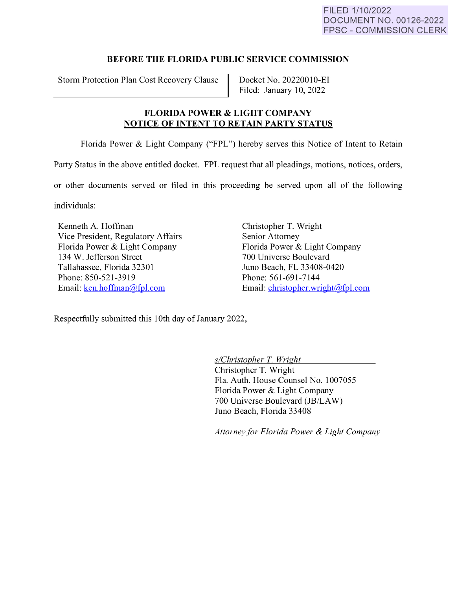## **BEFORE THE FLORIDA PUBLIC SERVICE COMMISSION**

Storm Protection Plan Cost Recovery Clause | Docket No. 20220010-EI

Filed: January 10, 2022

## **FLORIDA POWER** & **LIGHT COMPANY NOTICE OF INTENT TO RETAIN PARTY STATUS**

Florida Power & Light Company ("FPL") hereby serves this Notice of Intent to Retain

Party Status in the above entitled docket. FPL request that all pleadings, motions, notices, orders,

or other documents served or filed in this proceeding be served upon all of the following

individuals:

Kenneth A. Hoffman Vice President, Regulatory Affairs Florida Power & Light Company 134 W. Jefferson Street Tallahassee, Florida 32301 Phone: 850-521-3919 Email: [ken.hoffman@fpl.com](mailto:ken.hoffman@fpl.com) 

Christopher T. Wright Senior Attorney Florida Power & Light Company 700 Universe Boulevard Juno Beach, FL 33408-0420 Phone: 561-691-7144 Email: [christopher.wright@fpl.com](mailto:christopher.wright@fpl.com) 

Respectfully submitted this 10th day of January 2022,

*s/Christopher* T. *Wright* 

Christopher T. Wright Fla. Auth. House Counsel No. 1007055 Florida Power & Light Company 700 Universe Boulevard (JB/LAW) Juno Beach, Florida 33408

*Attorney for Florida Power* & *Light Company*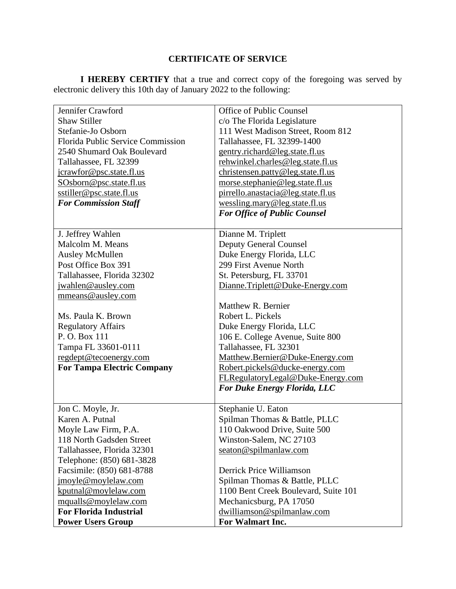## **CERTIFICATE OF SERVICE**

**I HEREBY CERTIFY** that a true and correct copy of the foregoing was served by electronic delivery this 10th day of January 2022 to the following:

| Jennifer Crawford                        | Office of Public Counsel             |
|------------------------------------------|--------------------------------------|
| <b>Shaw Stiller</b>                      | c/o The Florida Legislature          |
| Stefanie-Jo Osborn                       | 111 West Madison Street, Room 812    |
| <b>Florida Public Service Commission</b> | Tallahassee, FL 32399-1400           |
| 2540 Shumard Oak Boulevard               | gentry.richard@leg.state.fl.us       |
| Tallahassee, FL 32399                    | rehwinkel.charles@leg.state.fl.us    |
| jcrawfor@psc.state.fl.us                 | christensen.patty@leg.state.fl.us    |
| SOsborn@psc.state.fl.us                  | morse.stephanie@leg.state.fl.us      |
| sstiller@psc.state.fl.us                 | pirrello.anastacia@leg.state.fl.us   |
| <b>For Commission Staff</b>              | wessling.mary@leg.state.fl.us        |
|                                          | <b>For Office of Public Counsel</b>  |
|                                          |                                      |
| J. Jeffrey Wahlen                        | Dianne M. Triplett                   |
| Malcolm M. Means                         | <b>Deputy General Counsel</b>        |
| <b>Ausley McMullen</b>                   | Duke Energy Florida, LLC             |
| Post Office Box 391                      | 299 First Avenue North               |
| Tallahassee, Florida 32302               | St. Petersburg, FL 33701             |
| jwahlen@ausley.com                       | Dianne.Triplett@Duke-Energy.com      |
| mmeans@ausley.com                        |                                      |
|                                          | Matthew R. Bernier                   |
| Ms. Paula K. Brown                       | Robert L. Pickels                    |
| <b>Regulatory Affairs</b>                | Duke Energy Florida, LLC             |
| P. O. Box 111                            | 106 E. College Avenue, Suite 800     |
| Tampa FL 33601-0111                      | Tallahassee, FL 32301                |
| regdept@tecoenergy.com                   | Matthew.Bernier@Duke-Energy.com      |
| <b>For Tampa Electric Company</b>        | Robert.pickels@ducke-energy.com      |
|                                          | FLRegulatoryLegal@Duke-Energy.com    |
|                                          | <b>For Duke Energy Florida, LLC</b>  |
| Jon C. Moyle, Jr.                        | Stephanie U. Eaton                   |
| Karen A. Putnal                          | Spilman Thomas & Battle, PLLC        |
| Moyle Law Firm, P.A.                     | 110 Oakwood Drive, Suite 500         |
| 118 North Gadsden Street                 | Winston-Salem, NC 27103              |
| Tallahassee, Florida 32301               | seaton@spilmanlaw.com                |
| Telephone: (850) 681-3828                |                                      |
| Facsimile: (850) 681-8788                | Derrick Price Williamson             |
| jmoyle@moylelaw.com                      | Spilman Thomas & Battle, PLLC        |
| kputnal@moylelaw.com                     | 1100 Bent Creek Boulevard, Suite 101 |
| mqualls@moylelaw.com                     | Mechanicsburg, PA 17050              |
| <b>For Florida Industrial</b>            | dwilliamson@spilmanlaw.com           |
| <b>Power Users Group</b>                 | For Walmart Inc.                     |